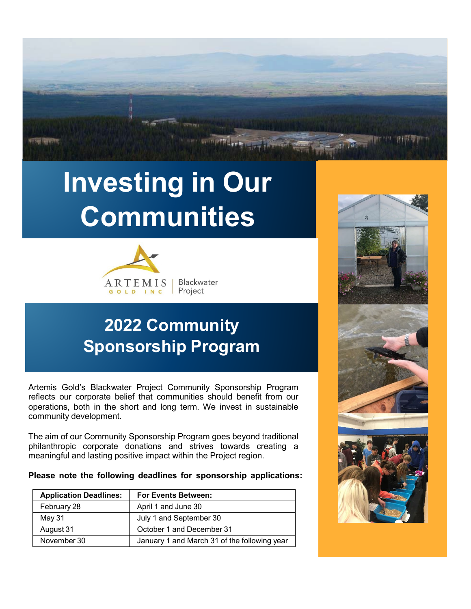

# **Investing in Our Communities**



### **2022 Community Sponsorship Program**

Artemis Gold's Blackwater Project Community Sponsorship Program reflects our corporate belief that communities should benefit from our operations, both in the short and long term. We invest in sustainable community development.

The aim of our Community Sponsorship Program goes beyond traditional philanthropic corporate donations and strives towards creating a meaningful and lasting positive impact within the Project region.

**Please note the following deadlines for sponsorship applications:**

| <b>Application Deadlines:</b> | <b>For Events Between:</b>                   |
|-------------------------------|----------------------------------------------|
| February 28                   | April 1 and June 30                          |
| May 31                        | July 1 and September 30                      |
| August 31                     | October 1 and December 31                    |
| November 30                   | January 1 and March 31 of the following year |

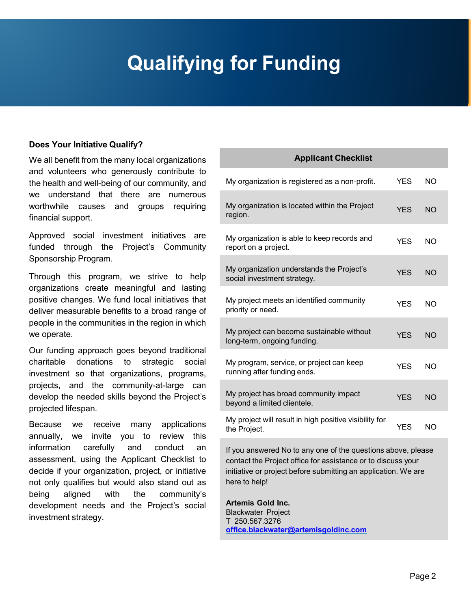## **Qualifying for Funding**

#### **Does Your Initiative Qualify?**

We all benefit from the many local organizations and volunteers who generously contribute to the health and well-being of our community, and we understand that there are numerous worthwhile causes and groups requiring financial support.

Approved social investment initiatives are funded through the Project's Community Sponsorship Program.

Through this program, we strive to help organizations create meaningful and lasting positive changes. We fund local initiatives that deliver measurable benefits to a broad range of people in the communities in the region in which we operate.

Our funding approach goes beyond traditional charitable donations to strategic social investment so that organizations, programs, projects, and the community-at-large can develop the needed skills beyond the Project's projected lifespan.

Because we receive many applications annually, we invite you to review this information carefully and conduct an assessment, using the Applicant Checklist to decide if your organization, project, or initiative not only qualifies but would also stand out as being aligned with the community's development needs and the Project's social investment strategy.

### **Applicant Checklist**

| My organization is registered as a non-profit.                           | <b>YES</b> | <b>NO</b>      |
|--------------------------------------------------------------------------|------------|----------------|
| My organization is located within the Project<br>region.                 | <b>YES</b> | <b>NO</b>      |
| My organization is able to keep records and<br>report on a project.      | <b>YES</b> | NO.            |
| My organization understands the Project's<br>social investment strategy. | <b>YFS</b> | <b>NO</b>      |
| My project meets an identified community<br>priority or need.            | <b>YES</b> | N <sub>O</sub> |
| My project can become sustainable without<br>long-term, ongoing funding. | <b>YFS</b> | <b>NO</b>      |
| My program, service, or project can keep<br>running after funding ends.  | <b>YFS</b> | NΩ             |
| My project has broad community impact<br>beyond a limited clientele.     | <b>YES</b> | <b>NO</b>      |
| My project will result in high positive visibility for<br>the Project.   | YES        | NΟ             |
|                                                                          |            |                |

If you answered No to any one of the questions above, please contact the Project office for assistance or to discuss your initiative or project before submitting an application. We are here to help!

**Artemis Gold Inc.** Blackwater Project T 250.567.3276 **[office.blackwater@artemisgoldinc.com](mailto:office.blackwater@artemisgoldinc.com)**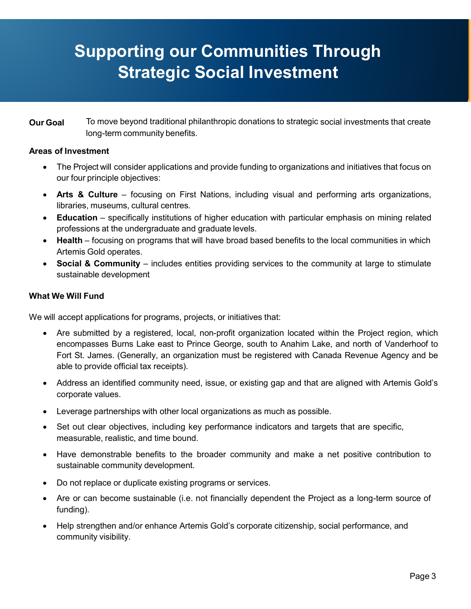### **Supporting our Communities Through Strategic Social Investment**

**Our Goal** To move beyond traditional philanthropic donations to strategic social investments that create long-term community benefits.

#### **Areas of Investment**

- The Project will consider applications and provide funding to organizations and initiatives that focus on our four principle objectives:
- **Arts & Culture** focusing on First Nations, including visual and performing arts organizations, libraries, museums, cultural centres.
- **Education** specifically institutions of higher education with particular emphasis on mining related professions at the undergraduate and graduate levels.
- **Health** focusing on programs that will have broad based benefits to the local communities in which Artemis Gold operates.
- **Social & Community** includes entities providing services to the community at large to stimulate sustainable development

#### **What We Will Fund**

We will accept applications for programs, projects, or initiatives that:

- Are submitted by a registered, local, non-profit organization located within the Project region, which encompasses Burns Lake east to Prince George, south to Anahim Lake, and north of Vanderhoof to Fort St. James. (Generally, an organization must be registered with Canada Revenue Agency and be able to provide official tax receipts).
- Address an identified community need, issue, or existing gap and that are aligned with Artemis Gold's corporate values.
- Leverage partnerships with other local organizations as much as possible.
- Set out clear objectives, including key performance indicators and targets that are specific, measurable, realistic, and time bound.
- Have demonstrable benefits to the broader community and make a net positive contribution to sustainable community development.
- Do not replace or duplicate existing programs or services.
- Are or can become sustainable (i.e. not financially dependent the Project as a long-term source of funding).
- Help strengthen and/or enhance Artemis Gold's corporate citizenship, social performance, and community visibility.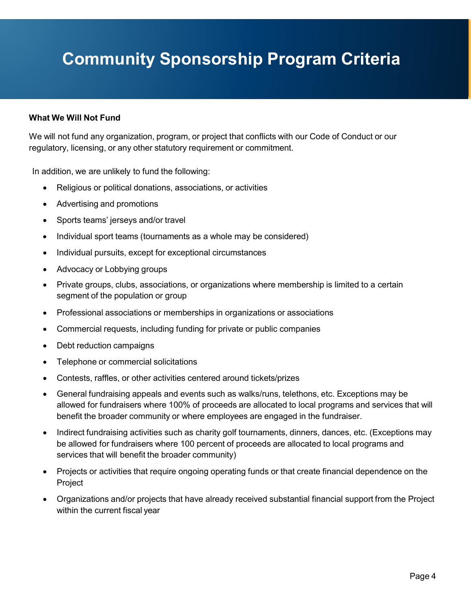### **Community Sponsorship Program Criteria**

#### **What We Will Not Fund**

We will not fund any organization, program, or project that conflicts with our Code of Conduct or our regulatory, licensing, or any other statutory requirement or commitment.

In addition, we are unlikely to fund the following:

- Religious or political donations, associations, or activities
- Advertising and promotions
- Sports teams' jerseys and/or travel
- Individual sport teams (tournaments as a whole may be considered)
- Individual pursuits, except for exceptional circumstances
- Advocacy or Lobbying groups
- Private groups, clubs, associations, or organizations where membership is limited to a certain segment of the population or group
- Professional associations or memberships in organizations or associations
- Commercial requests, including funding for private or public companies
- Debt reduction campaigns
- Telephone or commercial solicitations
- Contests, raffles, or other activities centered around tickets/prizes
- General fundraising appeals and events such as walks/runs, telethons, etc. Exceptions may be allowed for fundraisers where 100% of proceeds are allocated to local programs and services that will benefit the broader community or where employees are engaged in the fundraiser.
- Indirect fundraising activities such as charity golf tournaments, dinners, dances, etc. (Exceptions may be allowed for fundraisers where 100 percent of proceeds are allocated to local programs and services that will benefit the broader community)
- Projects or activities that require ongoing operating funds or that create financial dependence on the Project
- Organizations and/or projects that have already received substantial financial support from the Project within the current fiscal year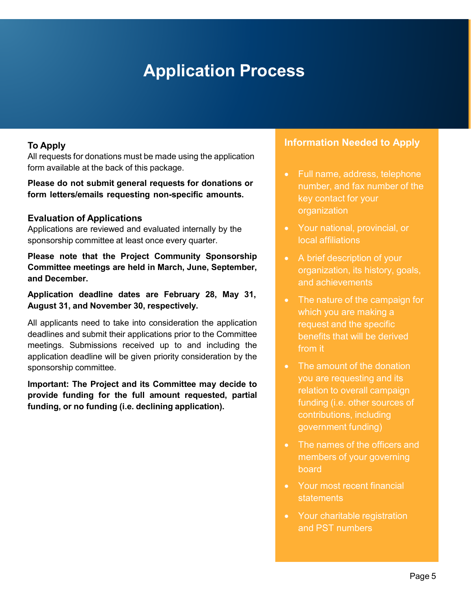### **Application Process**

### **To Apply**

All requests for donations must be made using the application form available at the back of this package.

**Please do not submit general requests for donations or form letters/emails requesting non-specific amounts.**

#### **Evaluation of Applications**

Applications are reviewed and evaluated internally by the sponsorship committee at least once every quarter.

**Please note that the Project Community Sponsorship Committee meetings are held in March, June, September, and December.**

**Application deadline dates are February 28, May 31, August 31, and November 30, respectively.**

All applicants need to take into consideration the application deadlines and submit their applications prior to the Committee meetings. Submissions received up to and including the application deadline will be given priority consideration by the sponsorship committee.

**Important: The Project and its Committee may decide to provide funding for the full amount requested, partial funding, or no funding (i.e. declining application).**

### **Information Needed to Apply**

- Full name, address, telephone number, and fax number of the key contact for your organization
- Your national, provincial, or local affiliations
- A brief description of your organization, its history, goals, and achievements
- The nature of the campaign for which you are making a request and the specific benefits that will be derived from it
- The amount of the donation you are requesting and its relation to overall campaign funding (i.e. other sources of contributions, including government funding)
- The names of the officers and members of your governing board
- Your most recent financial **statements**
- Your charitable registration and PST numbers